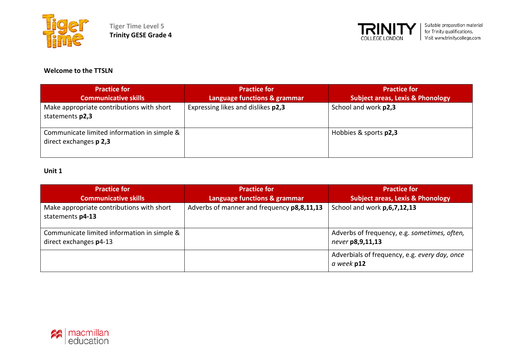



#### **Welcome to the TTSLN**

| <b>Practice for</b>                                                   | <b>Practice for</b>                | <b>Practice for</b>                         |
|-----------------------------------------------------------------------|------------------------------------|---------------------------------------------|
| <b>Communicative skills</b>                                           | Language functions & grammar       | <b>Subject areas, Lexis &amp; Phonology</b> |
| Make appropriate contributions with short<br>statements p2,3          | Expressing likes and dislikes p2,3 | School and work p2,3                        |
| Communicate limited information in simple &<br>direct exchanges p 2,3 |                                    | Hobbies & sports p2,3                       |

| <b>Practice for</b>                                                   | <b>Practice for</b>                        | <b>Practice for</b>                                              |
|-----------------------------------------------------------------------|--------------------------------------------|------------------------------------------------------------------|
| <b>Communicative skills</b>                                           | Language functions & grammar               | <b>Subject areas, Lexis &amp; Phonology</b>                      |
| Make appropriate contributions with short<br>statements p4-13         | Adverbs of manner and frequency p8,8,11,13 | School and work p, 6, 7, 12, 13                                  |
| Communicate limited information in simple &<br>direct exchanges p4-13 |                                            | Adverbs of frequency, e.g. sometimes, often,<br>never p8,9,11,13 |
|                                                                       |                                            | Adverbials of frequency, e.g. every day, once<br>a week p12      |

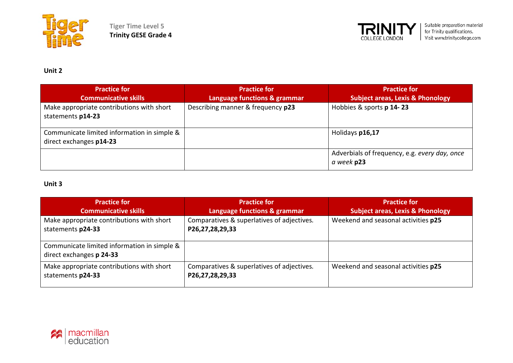



**Unit 2**

| <b>Practice for</b><br><b>Communicative skills</b>                     | <b>Practice for</b><br><b>Language functions &amp; grammar</b> | <b>Practice for</b><br>Subject areas, Lexis & Phonology     |
|------------------------------------------------------------------------|----------------------------------------------------------------|-------------------------------------------------------------|
| Make appropriate contributions with short<br>statements p14-23         | Describing manner & frequency p23                              | Hobbies & sports p 14-23                                    |
| Communicate limited information in simple &<br>direct exchanges p14-23 |                                                                | Holidays p16,17                                             |
|                                                                        |                                                                | Adverbials of frequency, e.g. every day, once<br>a week p23 |

| <b>Practice for</b><br><b>Communicative skills</b>                      | <b>Practice for</b><br>Language functions & grammar           | <b>Practice for</b><br><b>Subject areas, Lexis &amp; Phonology</b> |
|-------------------------------------------------------------------------|---------------------------------------------------------------|--------------------------------------------------------------------|
| Make appropriate contributions with short<br>statements p24-33          | Comparatives & superlatives of adjectives.<br>P26,27,28,29,33 | Weekend and seasonal activities p25                                |
| Communicate limited information in simple &<br>direct exchanges p 24-33 |                                                               |                                                                    |
| Make appropriate contributions with short<br>statements p24-33          | Comparatives & superlatives of adjectives.<br>P26,27,28,29,33 | Weekend and seasonal activities p25                                |

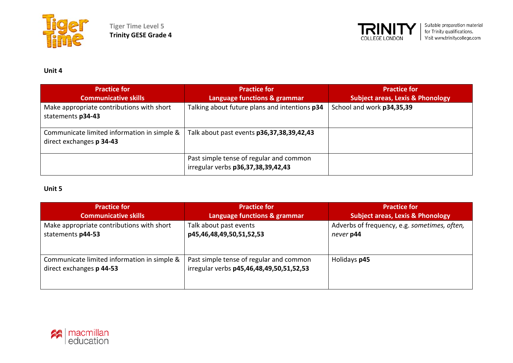



**Unit 4**

| <b>Practice for</b><br><b>Communicative skills</b>                      | <b>Practice for</b><br>Language functions & grammar                           | <b>Practice for</b><br><b>Subject areas, Lexis &amp; Phonology</b> |
|-------------------------------------------------------------------------|-------------------------------------------------------------------------------|--------------------------------------------------------------------|
| Make appropriate contributions with short<br>statements p34-43          | Talking about future plans and intentions p34                                 | School and work p34,35,39                                          |
| Communicate limited information in simple &<br>direct exchanges p 34-43 | Talk about past events p36,37,38,39,42,43                                     |                                                                    |
|                                                                         | Past simple tense of regular and common<br>irregular verbs p36,37,38,39,42,43 |                                                                    |

| <b>Practice for</b>                                                     | <b>Practice for</b>                                                                 | <b>Practice for</b>                                       |
|-------------------------------------------------------------------------|-------------------------------------------------------------------------------------|-----------------------------------------------------------|
| <b>Communicative skills</b>                                             | Language functions & grammar                                                        | <b>Subject areas, Lexis &amp; Phonology</b>               |
| Make appropriate contributions with short<br>statements p44-53          | Talk about past events<br>p45,46,48,49,50,51,52,53                                  | Adverbs of frequency, e.g. sometimes, often,<br>never p44 |
| Communicate limited information in simple &<br>direct exchanges p 44-53 | Past simple tense of regular and common<br>irregular verbs p45,46,48,49,50,51,52,53 | Holidays p45                                              |